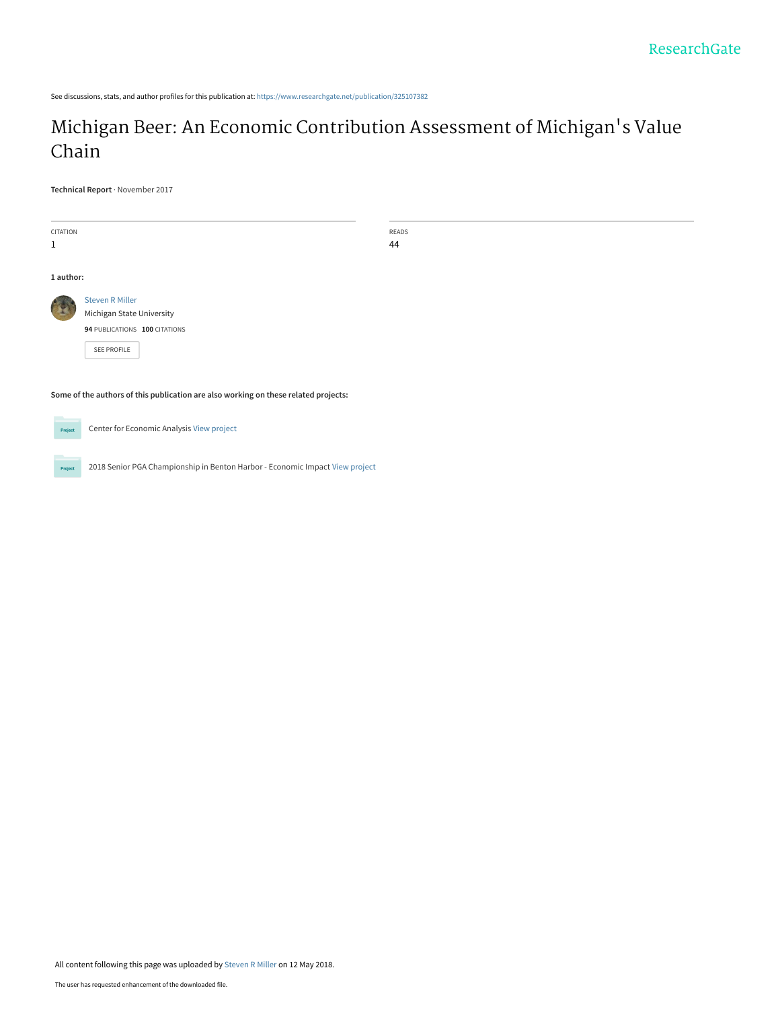See discussions, stats, and author profiles for this publication at: [https://www.researchgate.net/publication/325107382](https://www.researchgate.net/publication/325107382_Michigan_Beer_An_Economic_Contribution_Assessment_of_Michigan%27s_Value_Chain?enrichId=rgreq-6181b6ed5df4cd262a773c4af38f32d9-XXX&enrichSource=Y292ZXJQYWdlOzMyNTEwNzM4MjtBUzo2MjU1MDk4MzQ3MDY5NDVAMTUyNjE0NDU3NDExMg%3D%3D&el=1_x_2&_esc=publicationCoverPdf)

# [Michigan Beer: An Economic Contribution Assessment of Michigan](https://www.researchgate.net/publication/325107382_Michigan_Beer_An_Economic_Contribution_Assessment_of_Michigan%27s_Value_Chain?enrichId=rgreq-6181b6ed5df4cd262a773c4af38f32d9-XXX&enrichSource=Y292ZXJQYWdlOzMyNTEwNzM4MjtBUzo2MjU1MDk4MzQ3MDY5NDVAMTUyNjE0NDU3NDExMg%3D%3D&el=1_x_3&_esc=publicationCoverPdf)'s Value Chain

**Technical Report** · November 2017

| CITATION  |                                                                                     | READS |
|-----------|-------------------------------------------------------------------------------------|-------|
| 1         |                                                                                     | 44    |
|           |                                                                                     |       |
| 1 author: |                                                                                     |       |
|           |                                                                                     |       |
|           | <b>Steven R Miller</b>                                                              |       |
|           | Michigan State University                                                           |       |
|           | 94 PUBLICATIONS 100 CITATIONS                                                       |       |
|           | SEE PROFILE                                                                         |       |
|           |                                                                                     |       |
|           |                                                                                     |       |
|           | Some of the authors of this publication are also working on these related projects: |       |

Center for Economic Analysis [View project](https://www.researchgate.net/project/Center-for-Economic-Analysis?enrichId=rgreq-6181b6ed5df4cd262a773c4af38f32d9-XXX&enrichSource=Y292ZXJQYWdlOzMyNTEwNzM4MjtBUzo2MjU1MDk4MzQ3MDY5NDVAMTUyNjE0NDU3NDExMg%3D%3D&el=1_x_9&_esc=publicationCoverPdf) Project

2018 Senior PGA Championship in Benton Harbor - Economic Impact [View project](https://www.researchgate.net/project/2018-Senior-PGA-Championship-in-Benton-Harbor-Economic-Impact?enrichId=rgreq-6181b6ed5df4cd262a773c4af38f32d9-XXX&enrichSource=Y292ZXJQYWdlOzMyNTEwNzM4MjtBUzo2MjU1MDk4MzQ3MDY5NDVAMTUyNjE0NDU3NDExMg%3D%3D&el=1_x_9&_esc=publicationCoverPdf) Project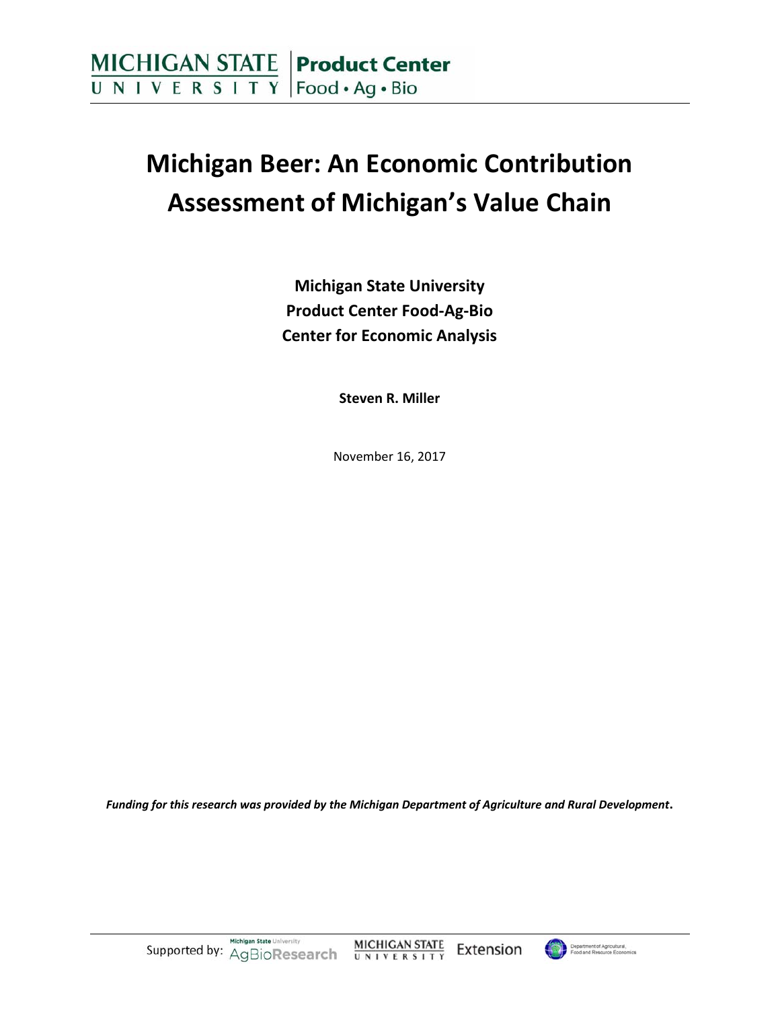# **Michigan Beer: An Economic Contribution Assessment of Michigan's Value Chain**

**Michigan State University Product Center Food‐Ag‐Bio Center for Economic Analysis**

**Steven R. Miller**

November 16, 2017

*Funding for this research was provided by the Michigan Department of Agriculture and Rural Development***.**

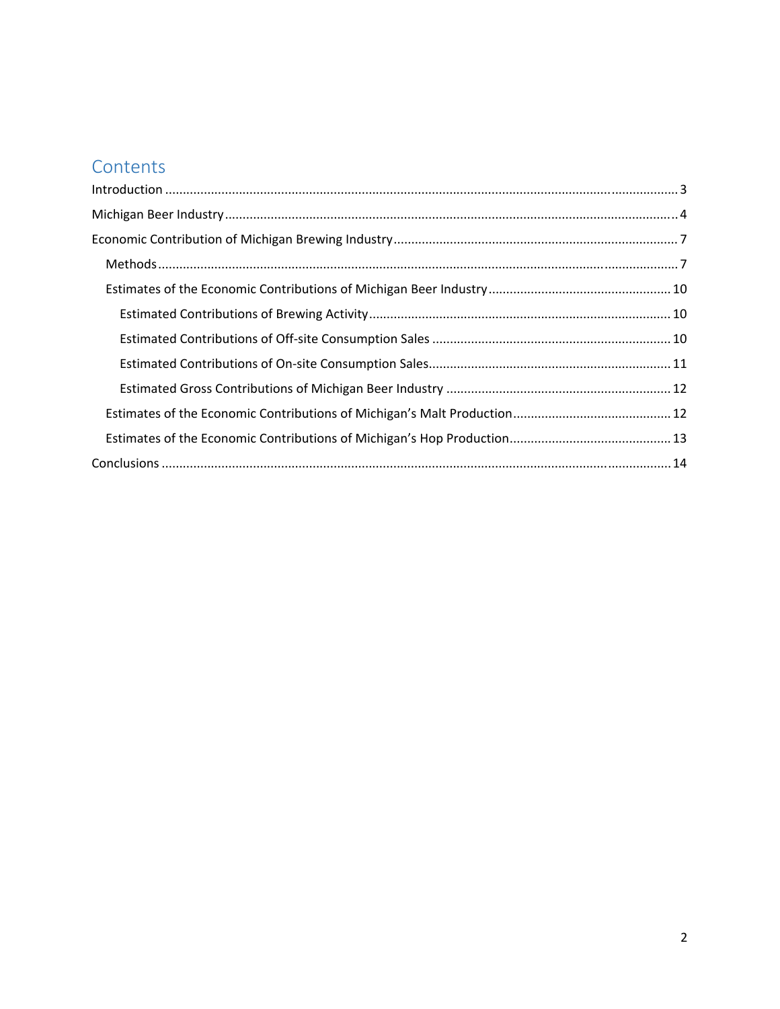# **Contents**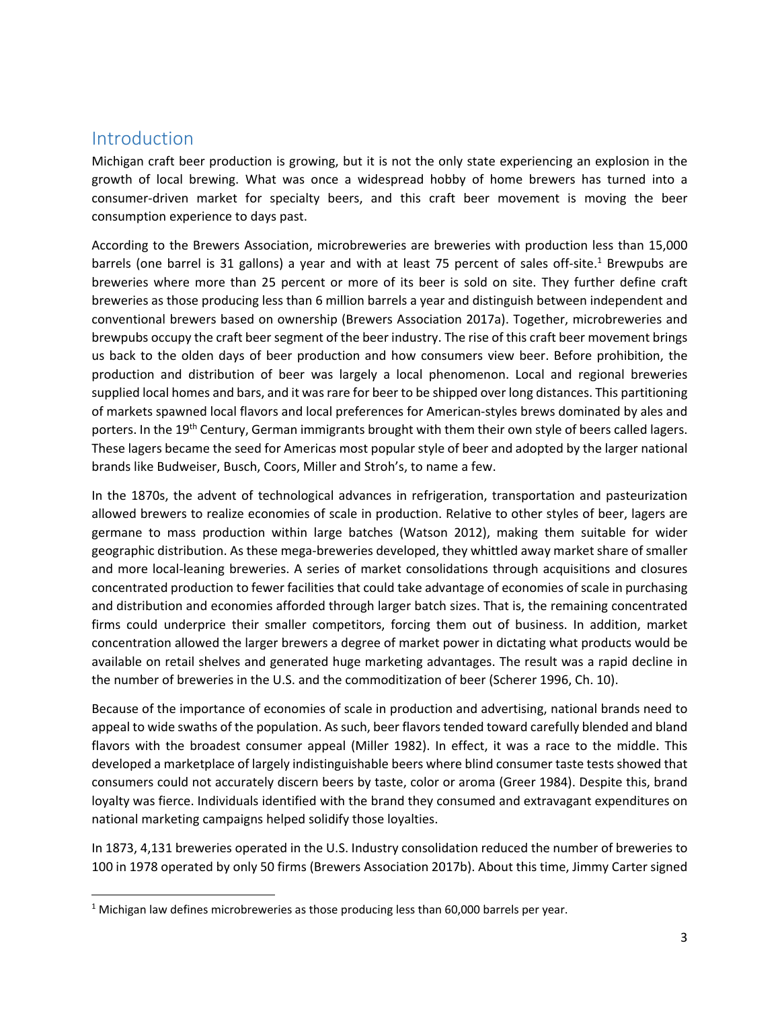### Introduction

Michigan craft beer production is growing, but it is not the only state experiencing an explosion in the growth of local brewing. What was once a widespread hobby of home brewers has turned into a consumer‐driven market for specialty beers, and this craft beer movement is moving the beer consumption experience to days past.

According to the Brewers Association, microbreweries are breweries with production less than 15,000 barrels (one barrel is 31 gallons) a year and with at least 75 percent of sales off-site.<sup>1</sup> Brewpubs are breweries where more than 25 percent or more of its beer is sold on site. They further define craft breweries as those producing less than 6 million barrels a year and distinguish between independent and conventional brewers based on ownership (Brewers Association 2017a). Together, microbreweries and brewpubs occupy the craft beer segment of the beer industry. The rise of this craft beer movement brings us back to the olden days of beer production and how consumers view beer. Before prohibition, the production and distribution of beer was largely a local phenomenon. Local and regional breweries supplied local homes and bars, and it was rare for beer to be shipped over long distances. This partitioning of markets spawned local flavors and local preferences for American‐styles brews dominated by ales and porters. In the 19<sup>th</sup> Century, German immigrants brought with them their own style of beers called lagers. These lagers became the seed for Americas most popular style of beer and adopted by the larger national brands like Budweiser, Busch, Coors, Miller and Stroh's, to name a few.

In the 1870s, the advent of technological advances in refrigeration, transportation and pasteurization allowed brewers to realize economies of scale in production. Relative to other styles of beer, lagers are germane to mass production within large batches (Watson 2012), making them suitable for wider geographic distribution. As these mega‐breweries developed, they whittled away market share of smaller and more local-leaning breweries. A series of market consolidations through acquisitions and closures concentrated production to fewer facilities that could take advantage of economies of scale in purchasing and distribution and economies afforded through larger batch sizes. That is, the remaining concentrated firms could underprice their smaller competitors, forcing them out of business. In addition, market concentration allowed the larger brewers a degree of market power in dictating what products would be available on retail shelves and generated huge marketing advantages. The result was a rapid decline in the number of breweries in the U.S. and the commoditization of beer (Scherer 1996, Ch. 10).

Because of the importance of economies of scale in production and advertising, national brands need to appeal to wide swaths of the population. As such, beer flavorstended toward carefully blended and bland flavors with the broadest consumer appeal (Miller 1982). In effect, it was a race to the middle. This developed a marketplace of largely indistinguishable beers where blind consumer taste tests showed that consumers could not accurately discern beers by taste, color or aroma (Greer 1984). Despite this, brand loyalty was fierce. Individuals identified with the brand they consumed and extravagant expenditures on national marketing campaigns helped solidify those loyalties.

In 1873, 4,131 breweries operated in the U.S. Industry consolidation reduced the number of breweries to 100 in 1978 operated by only 50 firms (Brewers Association 2017b). About this time, Jimmy Carter signed

<sup>&</sup>lt;sup>1</sup> Michigan law defines microbreweries as those producing less than  $60,000$  barrels per year.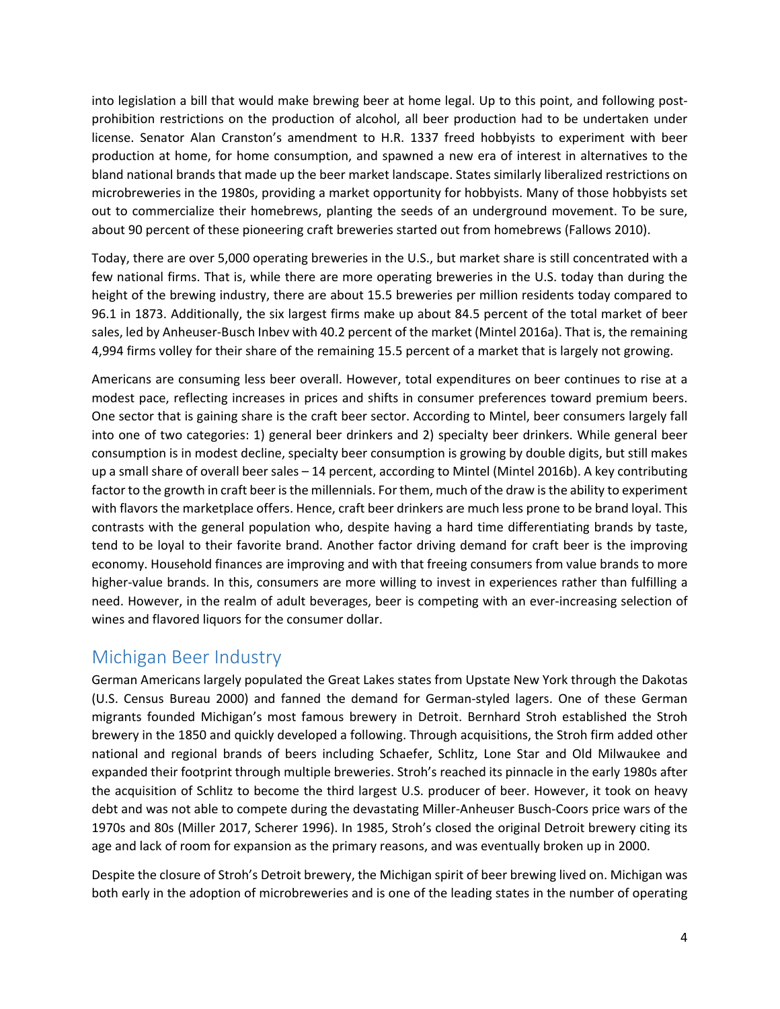into legislation a bill that would make brewing beer at home legal. Up to this point, and following postprohibition restrictions on the production of alcohol, all beer production had to be undertaken under license. Senator Alan Cranston's amendment to H.R. 1337 freed hobbyists to experiment with beer production at home, for home consumption, and spawned a new era of interest in alternatives to the bland national brands that made up the beer market landscape. States similarly liberalized restrictions on microbreweries in the 1980s, providing a market opportunity for hobbyists. Many of those hobbyists set out to commercialize their homebrews, planting the seeds of an underground movement. To be sure, about 90 percent of these pioneering craft breweries started out from homebrews (Fallows 2010).

Today, there are over 5,000 operating breweries in the U.S., but market share is still concentrated with a few national firms. That is, while there are more operating breweries in the U.S. today than during the height of the brewing industry, there are about 15.5 breweries per million residents today compared to 96.1 in 1873. Additionally, the six largest firms make up about 84.5 percent of the total market of beer sales, led by Anheuser-Busch Inbev with 40.2 percent of the market (Mintel 2016a). That is, the remaining 4,994 firms volley for their share of the remaining 15.5 percent of a market that is largely not growing.

Americans are consuming less beer overall. However, total expenditures on beer continues to rise at a modest pace, reflecting increases in prices and shifts in consumer preferences toward premium beers. One sector that is gaining share is the craft beer sector. According to Mintel, beer consumers largely fall into one of two categories: 1) general beer drinkers and 2) specialty beer drinkers. While general beer consumption is in modest decline, specialty beer consumption is growing by double digits, but still makes up a small share of overall beer sales – 14 percent, according to Mintel (Mintel 2016b). A key contributing factor to the growth in craft beer is the millennials. For them, much of the draw is the ability to experiment with flavors the marketplace offers. Hence, craft beer drinkers are much less prone to be brand loyal. This contrasts with the general population who, despite having a hard time differentiating brands by taste, tend to be loyal to their favorite brand. Another factor driving demand for craft beer is the improving economy. Household finances are improving and with that freeing consumers from value brands to more higher-value brands. In this, consumers are more willing to invest in experiences rather than fulfilling a need. However, in the realm of adult beverages, beer is competing with an ever-increasing selection of wines and flavored liquors for the consumer dollar.

# Michigan Beer Industry

German Americans largely populated the Great Lakes states from Upstate New York through the Dakotas (U.S. Census Bureau 2000) and fanned the demand for German‐styled lagers. One of these German migrants founded Michigan's most famous brewery in Detroit. Bernhard Stroh established the Stroh brewery in the 1850 and quickly developed a following. Through acquisitions, the Stroh firm added other national and regional brands of beers including Schaefer, Schlitz, Lone Star and Old Milwaukee and expanded their footprint through multiple breweries. Stroh's reached its pinnacle in the early 1980s after the acquisition of Schlitz to become the third largest U.S. producer of beer. However, it took on heavy debt and was not able to compete during the devastating Miller‐Anheuser Busch‐Coors price wars of the 1970s and 80s (Miller 2017, Scherer 1996). In 1985, Stroh's closed the original Detroit brewery citing its age and lack of room for expansion as the primary reasons, and was eventually broken up in 2000.

Despite the closure of Stroh's Detroit brewery, the Michigan spirit of beer brewing lived on. Michigan was both early in the adoption of microbreweries and is one of the leading states in the number of operating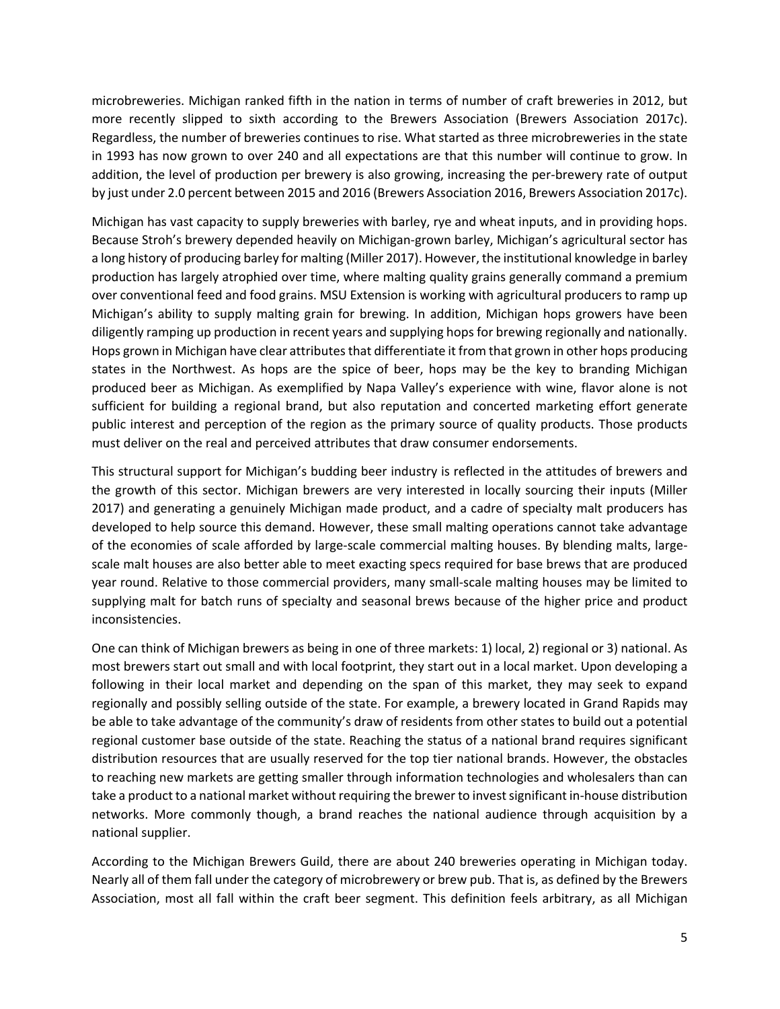microbreweries. Michigan ranked fifth in the nation in terms of number of craft breweries in 2012, but more recently slipped to sixth according to the Brewers Association (Brewers Association 2017c). Regardless, the number of breweries continues to rise. What started as three microbreweries in the state in 1993 has now grown to over 240 and all expectations are that this number will continue to grow. In addition, the level of production per brewery is also growing, increasing the per‐brewery rate of output by just under 2.0 percent between 2015 and 2016 (Brewers Association 2016, Brewers Association 2017c).

Michigan has vast capacity to supply breweries with barley, rye and wheat inputs, and in providing hops. Because Stroh's brewery depended heavily on Michigan‐grown barley, Michigan's agricultural sector has a long history of producing barley for malting (Miller 2017). However, the institutional knowledge in barley production has largely atrophied over time, where malting quality grains generally command a premium over conventional feed and food grains. MSU Extension is working with agricultural producers to ramp up Michigan's ability to supply malting grain for brewing. In addition, Michigan hops growers have been diligently ramping up production in recent years and supplying hops for brewing regionally and nationally. Hops grown in Michigan have clear attributes that differentiate it from that grown in other hops producing states in the Northwest. As hops are the spice of beer, hops may be the key to branding Michigan produced beer as Michigan. As exemplified by Napa Valley's experience with wine, flavor alone is not sufficient for building a regional brand, but also reputation and concerted marketing effort generate public interest and perception of the region as the primary source of quality products. Those products must deliver on the real and perceived attributes that draw consumer endorsements.

This structural support for Michigan's budding beer industry is reflected in the attitudes of brewers and the growth of this sector. Michigan brewers are very interested in locally sourcing their inputs (Miller 2017) and generating a genuinely Michigan made product, and a cadre of specialty malt producers has developed to help source this demand. However, these small malting operations cannot take advantage of the economies of scale afforded by large‐scale commercial malting houses. By blending malts, large‐ scale malt houses are also better able to meet exacting specs required for base brews that are produced year round. Relative to those commercial providers, many small‐scale malting houses may be limited to supplying malt for batch runs of specialty and seasonal brews because of the higher price and product inconsistencies.

One can think of Michigan brewers as being in one of three markets: 1) local, 2) regional or 3) national. As most brewers start out small and with local footprint, they start out in a local market. Upon developing a following in their local market and depending on the span of this market, they may seek to expand regionally and possibly selling outside of the state. For example, a brewery located in Grand Rapids may be able to take advantage of the community's draw of residents from other states to build out a potential regional customer base outside of the state. Reaching the status of a national brand requires significant distribution resources that are usually reserved for the top tier national brands. However, the obstacles to reaching new markets are getting smaller through information technologies and wholesalers than can take a product to a national market without requiring the brewer to invest significant in-house distribution networks. More commonly though, a brand reaches the national audience through acquisition by a national supplier.

According to the Michigan Brewers Guild, there are about 240 breweries operating in Michigan today. Nearly all of them fall under the category of microbrewery or brew pub. That is, as defined by the Brewers Association, most all fall within the craft beer segment. This definition feels arbitrary, as all Michigan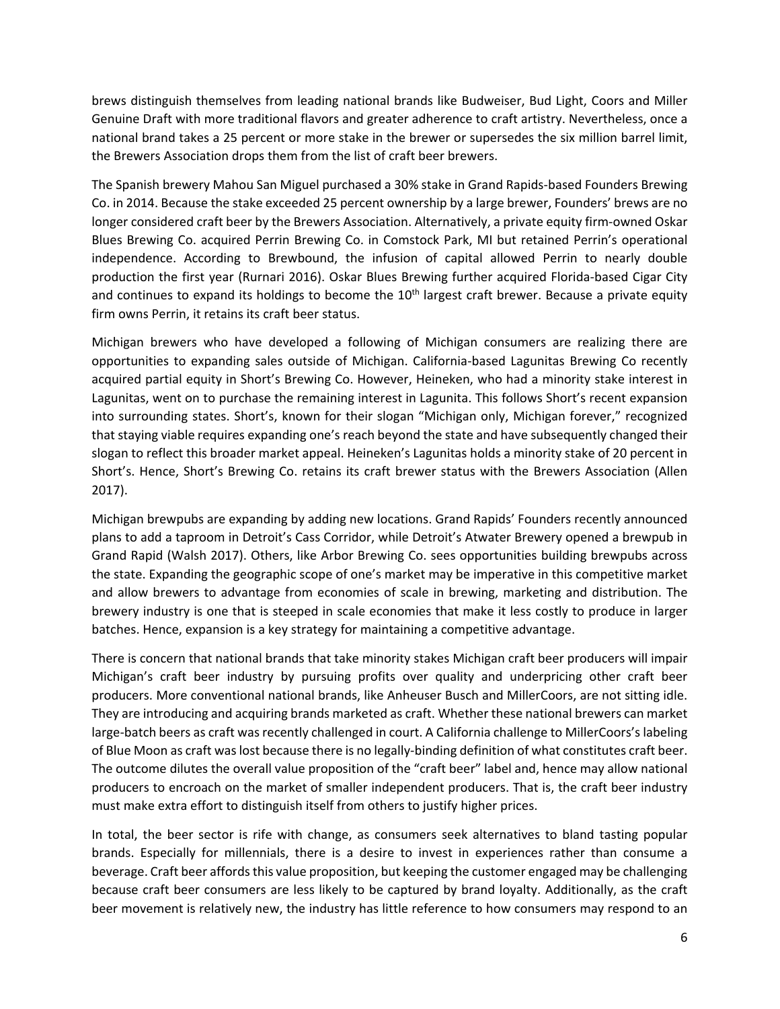brews distinguish themselves from leading national brands like Budweiser, Bud Light, Coors and Miller Genuine Draft with more traditional flavors and greater adherence to craft artistry. Nevertheless, once a national brand takes a 25 percent or more stake in the brewer or supersedes the six million barrel limit, the Brewers Association drops them from the list of craft beer brewers.

The Spanish brewery Mahou San Miguel purchased a 30% stake in Grand Rapids‐based Founders Brewing Co. in 2014. Because the stake exceeded 25 percent ownership by a large brewer, Founders' brews are no longer considered craft beer by the Brewers Association. Alternatively, a private equity firm-owned Oskar Blues Brewing Co. acquired Perrin Brewing Co. in Comstock Park, MI but retained Perrin's operational independence. According to Brewbound, the infusion of capital allowed Perrin to nearly double production the first year (Rurnari 2016). Oskar Blues Brewing further acquired Florida‐based Cigar City and continues to expand its holdings to become the  $10<sup>th</sup>$  largest craft brewer. Because a private equity firm owns Perrin, it retains its craft beer status.

Michigan brewers who have developed a following of Michigan consumers are realizing there are opportunities to expanding sales outside of Michigan. California‐based Lagunitas Brewing Co recently acquired partial equity in Short's Brewing Co. However, Heineken, who had a minority stake interest in Lagunitas, went on to purchase the remaining interest in Lagunita. This follows Short's recent expansion into surrounding states. Short's, known for their slogan "Michigan only, Michigan forever," recognized that staying viable requires expanding one's reach beyond the state and have subsequently changed their slogan to reflect this broader market appeal. Heineken's Lagunitas holds a minority stake of 20 percent in Short's. Hence, Short's Brewing Co. retains its craft brewer status with the Brewers Association (Allen 2017).

Michigan brewpubs are expanding by adding new locations. Grand Rapids' Founders recently announced plans to add a taproom in Detroit's Cass Corridor, while Detroit's Atwater Brewery opened a brewpub in Grand Rapid (Walsh 2017). Others, like Arbor Brewing Co. sees opportunities building brewpubs across the state. Expanding the geographic scope of one's market may be imperative in this competitive market and allow brewers to advantage from economies of scale in brewing, marketing and distribution. The brewery industry is one that is steeped in scale economies that make it less costly to produce in larger batches. Hence, expansion is a key strategy for maintaining a competitive advantage.

There is concern that national brands that take minority stakes Michigan craft beer producers will impair Michigan's craft beer industry by pursuing profits over quality and underpricing other craft beer producers. More conventional national brands, like Anheuser Busch and MillerCoors, are not sitting idle. They are introducing and acquiring brands marketed as craft. Whether these national brewers can market large-batch beers as craft was recently challenged in court. A California challenge to MillerCoors's labeling of Blue Moon as craft was lost because there is no legally-binding definition of what constitutes craft beer. The outcome dilutes the overall value proposition of the "craft beer" label and, hence may allow national producers to encroach on the market of smaller independent producers. That is, the craft beer industry must make extra effort to distinguish itself from others to justify higher prices.

In total, the beer sector is rife with change, as consumers seek alternatives to bland tasting popular brands. Especially for millennials, there is a desire to invest in experiences rather than consume a beverage. Craft beer affords this value proposition, but keeping the customer engaged may be challenging because craft beer consumers are less likely to be captured by brand loyalty. Additionally, as the craft beer movement is relatively new, the industry has little reference to how consumers may respond to an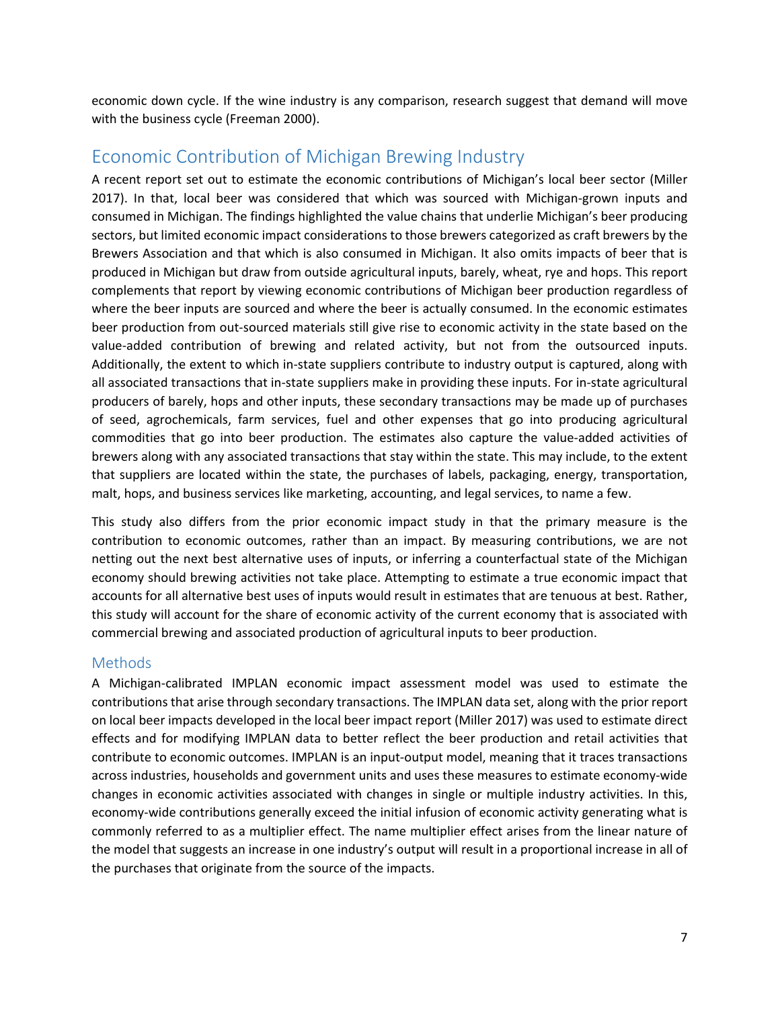economic down cycle. If the wine industry is any comparison, research suggest that demand will move with the business cycle (Freeman 2000).

# Economic Contribution of Michigan Brewing Industry

A recent report set out to estimate the economic contributions of Michigan's local beer sector (Miller 2017). In that, local beer was considered that which was sourced with Michigan‐grown inputs and consumed in Michigan. The findings highlighted the value chains that underlie Michigan's beer producing sectors, but limited economic impact considerations to those brewers categorized as craft brewers by the Brewers Association and that which is also consumed in Michigan. It also omits impacts of beer that is produced in Michigan but draw from outside agricultural inputs, barely, wheat, rye and hops. This report complements that report by viewing economic contributions of Michigan beer production regardless of where the beer inputs are sourced and where the beer is actually consumed. In the economic estimates beer production from out-sourced materials still give rise to economic activity in the state based on the value‐added contribution of brewing and related activity, but not from the outsourced inputs. Additionally, the extent to which in-state suppliers contribute to industry output is captured, along with all associated transactions that in‐state suppliers make in providing these inputs. For in‐state agricultural producers of barely, hops and other inputs, these secondary transactions may be made up of purchases of seed, agrochemicals, farm services, fuel and other expenses that go into producing agricultural commodities that go into beer production. The estimates also capture the value‐added activities of brewers along with any associated transactions that stay within the state. This may include, to the extent that suppliers are located within the state, the purchases of labels, packaging, energy, transportation, malt, hops, and business services like marketing, accounting, and legal services, to name a few.

This study also differs from the prior economic impact study in that the primary measure is the contribution to economic outcomes, rather than an impact. By measuring contributions, we are not netting out the next best alternative uses of inputs, or inferring a counterfactual state of the Michigan economy should brewing activities not take place. Attempting to estimate a true economic impact that accounts for all alternative best uses of inputs would result in estimates that are tenuous at best. Rather, this study will account for the share of economic activity of the current economy that is associated with commercial brewing and associated production of agricultural inputs to beer production.

#### Methods

A Michigan‐calibrated IMPLAN economic impact assessment model was used to estimate the contributions that arise through secondary transactions. The IMPLAN data set, along with the prior report on local beer impacts developed in the local beer impact report (Miller 2017) was used to estimate direct effects and for modifying IMPLAN data to better reflect the beer production and retail activities that contribute to economic outcomes. IMPLAN is an input-output model, meaning that it traces transactions across industries, households and government units and uses these measures to estimate economy‐wide changes in economic activities associated with changes in single or multiple industry activities. In this, economy-wide contributions generally exceed the initial infusion of economic activity generating what is commonly referred to as a multiplier effect. The name multiplier effect arises from the linear nature of the model that suggests an increase in one industry's output will result in a proportional increase in all of the purchases that originate from the source of the impacts.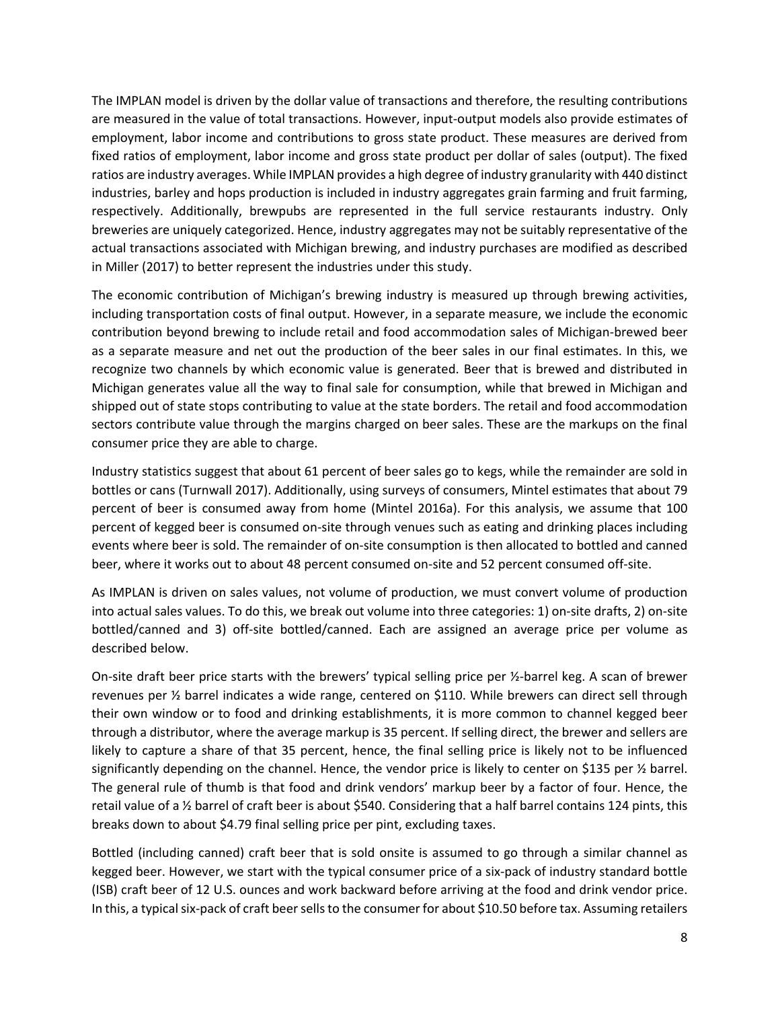The IMPLAN model is driven by the dollar value of transactions and therefore, the resulting contributions are measured in the value of total transactions. However, input-output models also provide estimates of employment, labor income and contributions to gross state product. These measures are derived from fixed ratios of employment, labor income and gross state product per dollar of sales (output). The fixed ratios are industry averages. While IMPLAN provides a high degree of industry granularity with 440 distinct industries, barley and hops production is included in industry aggregates grain farming and fruit farming, respectively. Additionally, brewpubs are represented in the full service restaurants industry. Only breweries are uniquely categorized. Hence, industry aggregates may not be suitably representative of the actual transactions associated with Michigan brewing, and industry purchases are modified as described in Miller (2017) to better represent the industries under this study.

The economic contribution of Michigan's brewing industry is measured up through brewing activities, including transportation costs of final output. However, in a separate measure, we include the economic contribution beyond brewing to include retail and food accommodation sales of Michigan-brewed beer as a separate measure and net out the production of the beer sales in our final estimates. In this, we recognize two channels by which economic value is generated. Beer that is brewed and distributed in Michigan generates value all the way to final sale for consumption, while that brewed in Michigan and shipped out of state stops contributing to value at the state borders. The retail and food accommodation sectors contribute value through the margins charged on beer sales. These are the markups on the final consumer price they are able to charge.

Industry statistics suggest that about 61 percent of beer sales go to kegs, while the remainder are sold in bottles or cans (Turnwall 2017). Additionally, using surveys of consumers, Mintel estimates that about 79 percent of beer is consumed away from home (Mintel 2016a). For this analysis, we assume that 100 percent of kegged beer is consumed on‐site through venues such as eating and drinking places including events where beer is sold. The remainder of on‐site consumption is then allocated to bottled and canned beer, where it works out to about 48 percent consumed on‐site and 52 percent consumed off‐site.

As IMPLAN is driven on sales values, not volume of production, we must convert volume of production into actual sales values. To do this, we break out volume into three categories: 1) on‐site drafts, 2) on‐site bottled/canned and 3) off-site bottled/canned. Each are assigned an average price per volume as described below.

On-site draft beer price starts with the brewers' typical selling price per  $\frac{1}{2}$ -barrel keg. A scan of brewer revenues per ½ barrel indicates a wide range, centered on \$110. While brewers can direct sell through their own window or to food and drinking establishments, it is more common to channel kegged beer through a distributor, where the average markup is 35 percent. If selling direct, the brewer and sellers are likely to capture a share of that 35 percent, hence, the final selling price is likely not to be influenced significantly depending on the channel. Hence, the vendor price is likely to center on \$135 per ½ barrel. The general rule of thumb is that food and drink vendors' markup beer by a factor of four. Hence, the retail value of a ½ barrel of craft beer is about \$540. Considering that a half barrel contains 124 pints, this breaks down to about \$4.79 final selling price per pint, excluding taxes.

Bottled (including canned) craft beer that is sold onsite is assumed to go through a similar channel as kegged beer. However, we start with the typical consumer price of a six‐pack of industry standard bottle (ISB) craft beer of 12 U.S. ounces and work backward before arriving at the food and drink vendor price. In this, a typical six-pack of craft beer sells to the consumer for about \$10.50 before tax. Assuming retailers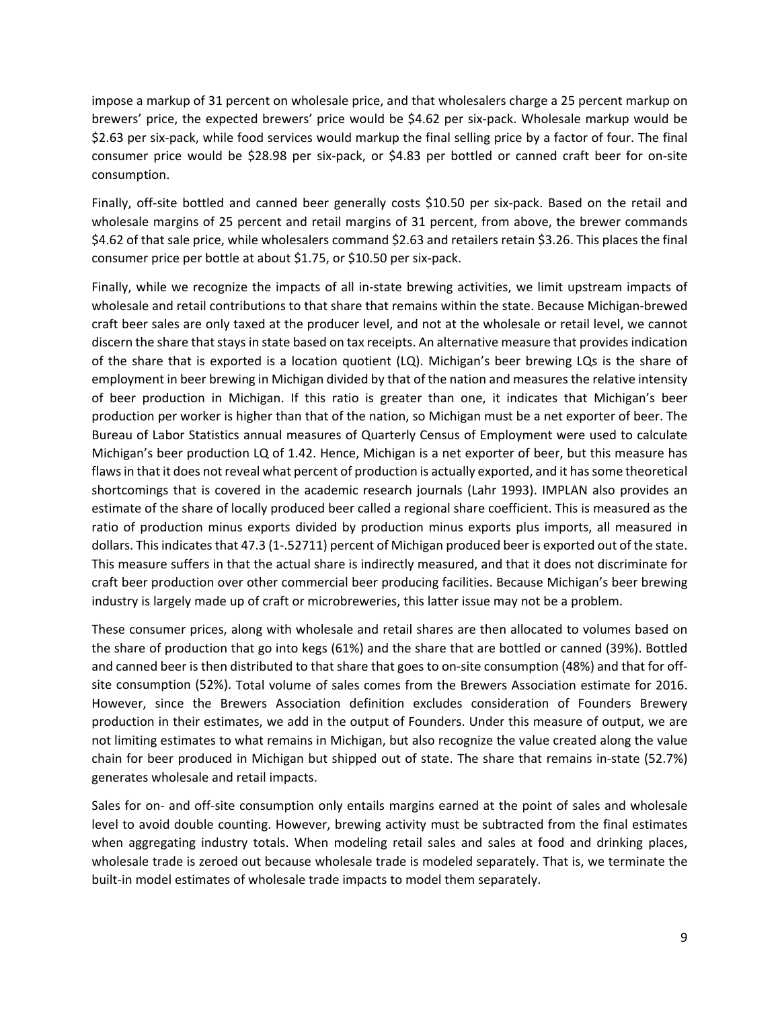impose a markup of 31 percent on wholesale price, and that wholesalers charge a 25 percent markup on brewers' price, the expected brewers' price would be \$4.62 per six‐pack. Wholesale markup would be \$2.63 per six‐pack, while food services would markup the final selling price by a factor of four. The final consumer price would be \$28.98 per six‐pack, or \$4.83 per bottled or canned craft beer for on‐site consumption.

Finally, off-site bottled and canned beer generally costs \$10.50 per six-pack. Based on the retail and wholesale margins of 25 percent and retail margins of 31 percent, from above, the brewer commands \$4.62 of that sale price, while wholesalers command \$2.63 and retailers retain \$3.26. This places the final consumer price per bottle at about \$1.75, or \$10.50 per six‐pack.

Finally, while we recognize the impacts of all in-state brewing activities, we limit upstream impacts of wholesale and retail contributions to that share that remains within the state. Because Michigan‐brewed craft beer sales are only taxed at the producer level, and not at the wholesale or retail level, we cannot discern the share that stays in state based on tax receipts. An alternative measure that provides indication of the share that is exported is a location quotient (LQ). Michigan's beer brewing LQs is the share of employment in beer brewing in Michigan divided by that of the nation and measures the relative intensity of beer production in Michigan. If this ratio is greater than one, it indicates that Michigan's beer production per worker is higher than that of the nation, so Michigan must be a net exporter of beer. The Bureau of Labor Statistics annual measures of Quarterly Census of Employment were used to calculate Michigan's beer production LQ of 1.42. Hence, Michigan is a net exporter of beer, but this measure has flaws in that it does not reveal what percent of production is actually exported, and it has some theoretical shortcomings that is covered in the academic research journals (Lahr 1993). IMPLAN also provides an estimate of the share of locally produced beer called a regional share coefficient. This is measured as the ratio of production minus exports divided by production minus exports plus imports, all measured in dollars. This indicates that 47.3 (1-.52711) percent of Michigan produced beer is exported out of the state. This measure suffers in that the actual share is indirectly measured, and that it does not discriminate for craft beer production over other commercial beer producing facilities. Because Michigan's beer brewing industry is largely made up of craft or microbreweries, this latter issue may not be a problem.

These consumer prices, along with wholesale and retail shares are then allocated to volumes based on the share of production that go into kegs (61%) and the share that are bottled or canned (39%). Bottled and canned beer is then distributed to that share that goes to on-site consumption (48%) and that for offsite consumption (52%). Total volume of sales comes from the Brewers Association estimate for 2016. However, since the Brewers Association definition excludes consideration of Founders Brewery production in their estimates, we add in the output of Founders. Under this measure of output, we are not limiting estimates to what remains in Michigan, but also recognize the value created along the value chain for beer produced in Michigan but shipped out of state. The share that remains in‐state (52.7%) generates wholesale and retail impacts.

Sales for on- and off-site consumption only entails margins earned at the point of sales and wholesale level to avoid double counting. However, brewing activity must be subtracted from the final estimates when aggregating industry totals. When modeling retail sales and sales at food and drinking places, wholesale trade is zeroed out because wholesale trade is modeled separately. That is, we terminate the built-in model estimates of wholesale trade impacts to model them separately.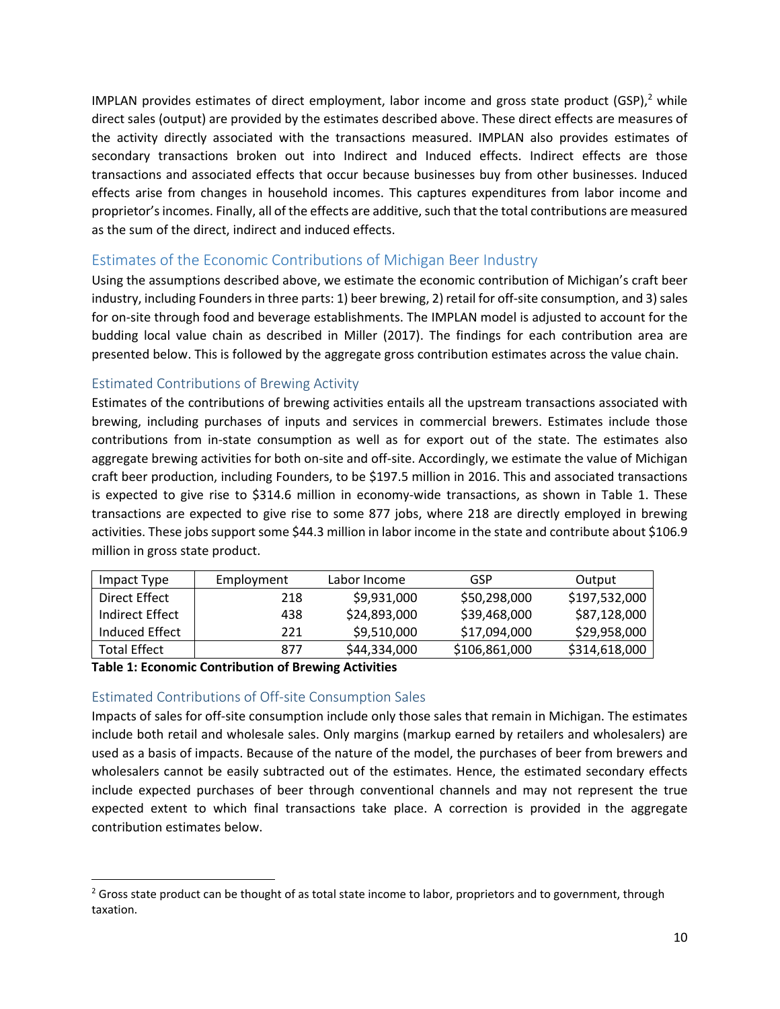IMPLAN provides estimates of direct employment, labor income and gross state product (GSP), $<sup>2</sup>$  while</sup> direct sales (output) are provided by the estimates described above. These direct effects are measures of the activity directly associated with the transactions measured. IMPLAN also provides estimates of secondary transactions broken out into Indirect and Induced effects. Indirect effects are those transactions and associated effects that occur because businesses buy from other businesses. Induced effects arise from changes in household incomes. This captures expenditures from labor income and proprietor's incomes. Finally, all of the effects are additive, such that the total contributions are measured as the sum of the direct, indirect and induced effects.

#### Estimates of the Economic Contributions of Michigan Beer Industry

Using the assumptions described above, we estimate the economic contribution of Michigan's craft beer industry, including Founders in three parts: 1) beer brewing, 2) retail for off-site consumption, and 3) sales for on‐site through food and beverage establishments. The IMPLAN model is adjusted to account for the budding local value chain as described in Miller (2017). The findings for each contribution area are presented below. This is followed by the aggregate gross contribution estimates across the value chain.

#### Estimated Contributions of Brewing Activity

Estimates of the contributions of brewing activities entails all the upstream transactions associated with brewing, including purchases of inputs and services in commercial brewers. Estimates include those contributions from in‐state consumption as well as for export out of the state. The estimates also aggregate brewing activities for both on-site and off-site. Accordingly, we estimate the value of Michigan craft beer production, including Founders, to be \$197.5 million in 2016. This and associated transactions is expected to give rise to \$314.6 million in economy-wide transactions, as shown in Table 1. These transactions are expected to give rise to some 877 jobs, where 218 are directly employed in brewing activities. These jobs support some \$44.3 million in labor income in the state and contribute about \$106.9 million in gross state product.

| Impact Type     | Employment | Labor Income | GSP           | Output        |
|-----------------|------------|--------------|---------------|---------------|
| Direct Effect   | 218        | \$9,931,000  | \$50,298,000  | \$197,532,000 |
| Indirect Effect | 438        | \$24,893,000 | \$39,468,000  | \$87,128,000  |
| Induced Effect  | 221        | \$9,510,000  | \$17,094,000  | \$29,958,000  |
| Total Effect    | 877        | \$44,334,000 | \$106,861,000 | \$314,618,000 |

**Table 1: Economic Contribution of Brewing Activities**

#### Estimated Contributions of Off‐site Consumption Sales

Impacts of sales for off‐site consumption include only those sales that remain in Michigan. The estimates include both retail and wholesale sales. Only margins (markup earned by retailers and wholesalers) are used as a basis of impacts. Because of the nature of the model, the purchases of beer from brewers and wholesalers cannot be easily subtracted out of the estimates. Hence, the estimated secondary effects include expected purchases of beer through conventional channels and may not represent the true expected extent to which final transactions take place. A correction is provided in the aggregate contribution estimates below.

<sup>&</sup>lt;sup>2</sup> Gross state product can be thought of as total state income to labor, proprietors and to government, through taxation.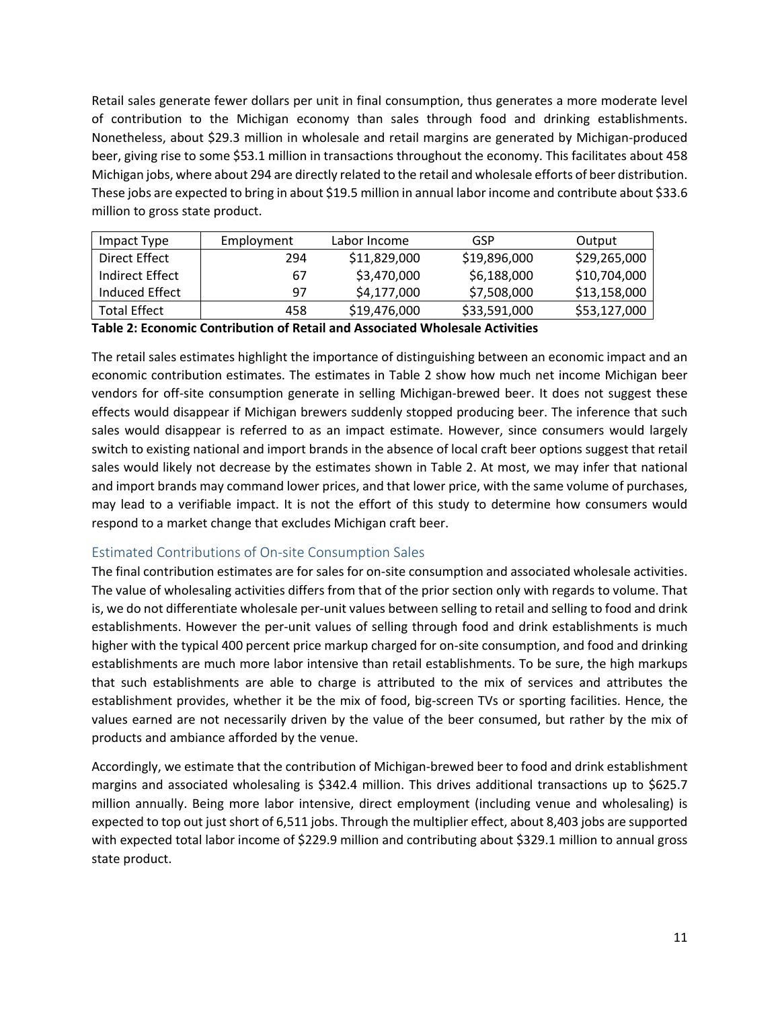Retail sales generate fewer dollars per unit in final consumption, thus generates a more moderate level of contribution to the Michigan economy than sales through food and drinking establishments. Nonetheless, about \$29.3 million in wholesale and retail margins are generated by Michigan‐produced beer, giving rise to some \$53.1 million in transactions throughout the economy. This facilitates about 458 Michigan jobs, where about 294 are directly related to the retail and wholesale efforts of beer distribution. These jobs are expected to bring in about \$19.5 million in annual labor income and contribute about \$33.6 million to gross state product.

| Impact Type         | Employment | Labor Income | GSP          | Output       |
|---------------------|------------|--------------|--------------|--------------|
| Direct Effect       | 294        | \$11,829,000 | \$19,896,000 | \$29,265,000 |
| Indirect Effect     | 67         | \$3,470,000  | \$6,188,000  | \$10,704,000 |
| Induced Effect      | 97         | \$4,177,000  | \$7,508,000  | \$13,158,000 |
| <b>Total Effect</b> | 458        | \$19,476,000 | \$33,591,000 | \$53,127,000 |

**Table 2: Economic Contribution of Retail and Associated Wholesale Activities**

The retail sales estimates highlight the importance of distinguishing between an economic impact and an economic contribution estimates. The estimates in Table 2 show how much net income Michigan beer vendors for off‐site consumption generate in selling Michigan‐brewed beer. It does not suggest these effects would disappear if Michigan brewers suddenly stopped producing beer. The inference that such sales would disappear is referred to as an impact estimate. However, since consumers would largely switch to existing national and import brands in the absence of local craft beer options suggest that retail sales would likely not decrease by the estimates shown in Table 2. At most, we may infer that national and import brands may command lower prices, and that lower price, with the same volume of purchases, may lead to a verifiable impact. It is not the effort of this study to determine how consumers would respond to a market change that excludes Michigan craft beer.

#### Estimated Contributions of On‐site Consumption Sales

The final contribution estimates are for sales for on‐site consumption and associated wholesale activities. The value of wholesaling activities differs from that of the prior section only with regards to volume. That is, we do not differentiate wholesale per‐unit values between selling to retail and selling to food and drink establishments. However the per-unit values of selling through food and drink establishments is much higher with the typical 400 percent price markup charged for on-site consumption, and food and drinking establishments are much more labor intensive than retail establishments. To be sure, the high markups that such establishments are able to charge is attributed to the mix of services and attributes the establishment provides, whether it be the mix of food, big‐screen TVs or sporting facilities. Hence, the values earned are not necessarily driven by the value of the beer consumed, but rather by the mix of products and ambiance afforded by the venue.

Accordingly, we estimate that the contribution of Michigan‐brewed beer to food and drink establishment margins and associated wholesaling is \$342.4 million. This drives additional transactions up to \$625.7 million annually. Being more labor intensive, direct employment (including venue and wholesaling) is expected to top out just short of 6,511 jobs. Through the multiplier effect, about 8,403 jobs are supported with expected total labor income of \$229.9 million and contributing about \$329.1 million to annual gross state product.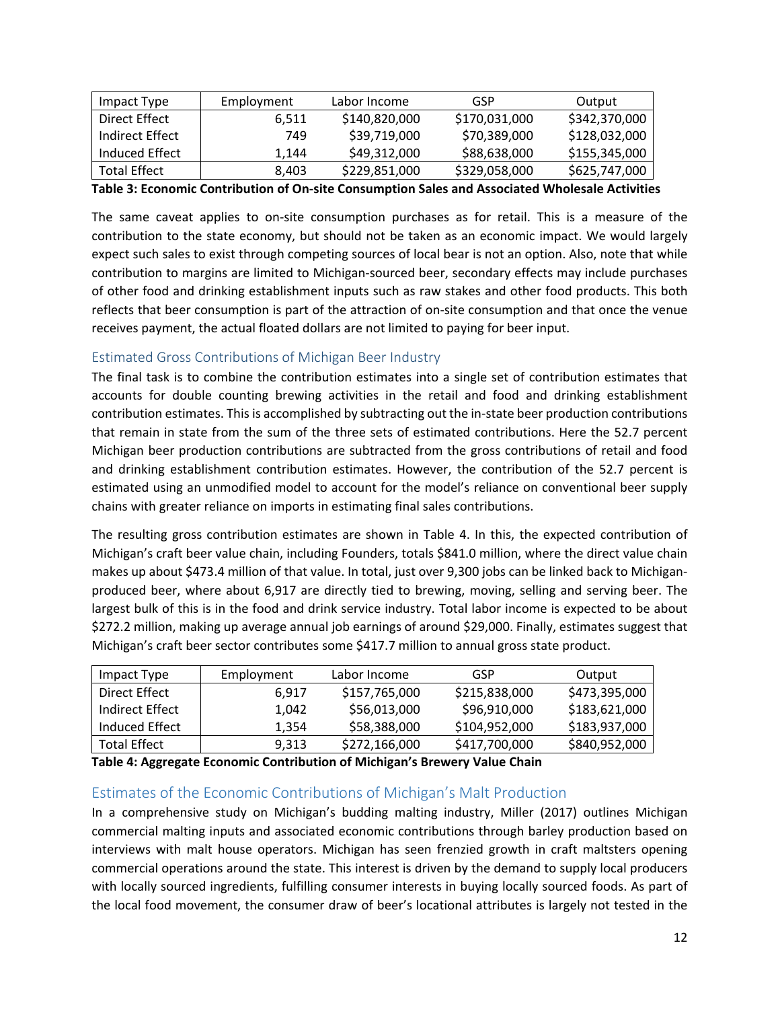| Impact Type         | Employment | Labor Income  | GSP           | Output        |
|---------------------|------------|---------------|---------------|---------------|
| Direct Effect       | 6.511      | \$140,820,000 | \$170,031,000 | \$342,370,000 |
| Indirect Effect     | 749        | \$39,719,000  | \$70,389,000  | \$128,032,000 |
| Induced Effect      | 1.144      | \$49,312,000  | \$88,638,000  | \$155,345,000 |
| <b>Total Effect</b> | 8.403      | \$229,851,000 | \$329,058,000 | \$625,747,000 |

**Table 3: Economic Contribution of On‐site Consumption Sales and Associated Wholesale Activities**

The same caveat applies to on‐site consumption purchases as for retail. This is a measure of the contribution to the state economy, but should not be taken as an economic impact. We would largely expect such sales to exist through competing sources of local bear is not an option. Also, note that while contribution to margins are limited to Michigan‐sourced beer, secondary effects may include purchases of other food and drinking establishment inputs such as raw stakes and other food products. This both reflects that beer consumption is part of the attraction of on‐site consumption and that once the venue receives payment, the actual floated dollars are not limited to paying for beer input.

#### Estimated Gross Contributions of Michigan Beer Industry

The final task is to combine the contribution estimates into a single set of contribution estimates that accounts for double counting brewing activities in the retail and food and drinking establishment contribution estimates. This is accomplished by subtracting out the in-state beer production contributions that remain in state from the sum of the three sets of estimated contributions. Here the 52.7 percent Michigan beer production contributions are subtracted from the gross contributions of retail and food and drinking establishment contribution estimates. However, the contribution of the 52.7 percent is estimated using an unmodified model to account for the model's reliance on conventional beer supply chains with greater reliance on imports in estimating final sales contributions.

The resulting gross contribution estimates are shown in Table 4. In this, the expected contribution of Michigan's craft beer value chain, including Founders, totals \$841.0 million, where the direct value chain makes up about \$473.4 million of that value. In total, just over 9,300 jobs can be linked back to Michigan‐ produced beer, where about 6,917 are directly tied to brewing, moving, selling and serving beer. The largest bulk of this is in the food and drink service industry. Total labor income is expected to be about \$272.2 million, making up average annual job earnings of around \$29,000. Finally, estimates suggest that Michigan's craft beer sector contributes some \$417.7 million to annual gross state product.

| Impact Type         | Employment | Labor Income  | GSP           | Output        |
|---------------------|------------|---------------|---------------|---------------|
| Direct Effect       | 6.917      | \$157,765,000 | \$215,838,000 | \$473,395,000 |
| Indirect Effect     | 1.042      | \$56,013,000  | \$96,910,000  | \$183,621,000 |
| Induced Effect      | 1.354      | \$58,388,000  | \$104,952,000 | \$183,937,000 |
| <b>Total Effect</b> | 9.313      | \$272,166,000 | \$417,700,000 | \$840,952,000 |

**Table 4: Aggregate Economic Contribution of Michigan's Brewery Value Chain**

#### Estimates of the Economic Contributions of Michigan's Malt Production

In a comprehensive study on Michigan's budding malting industry, Miller (2017) outlines Michigan commercial malting inputs and associated economic contributions through barley production based on interviews with malt house operators. Michigan has seen frenzied growth in craft maltsters opening commercial operations around the state. This interest is driven by the demand to supply local producers with locally sourced ingredients, fulfilling consumer interests in buying locally sourced foods. As part of the local food movement, the consumer draw of beer's locational attributes is largely not tested in the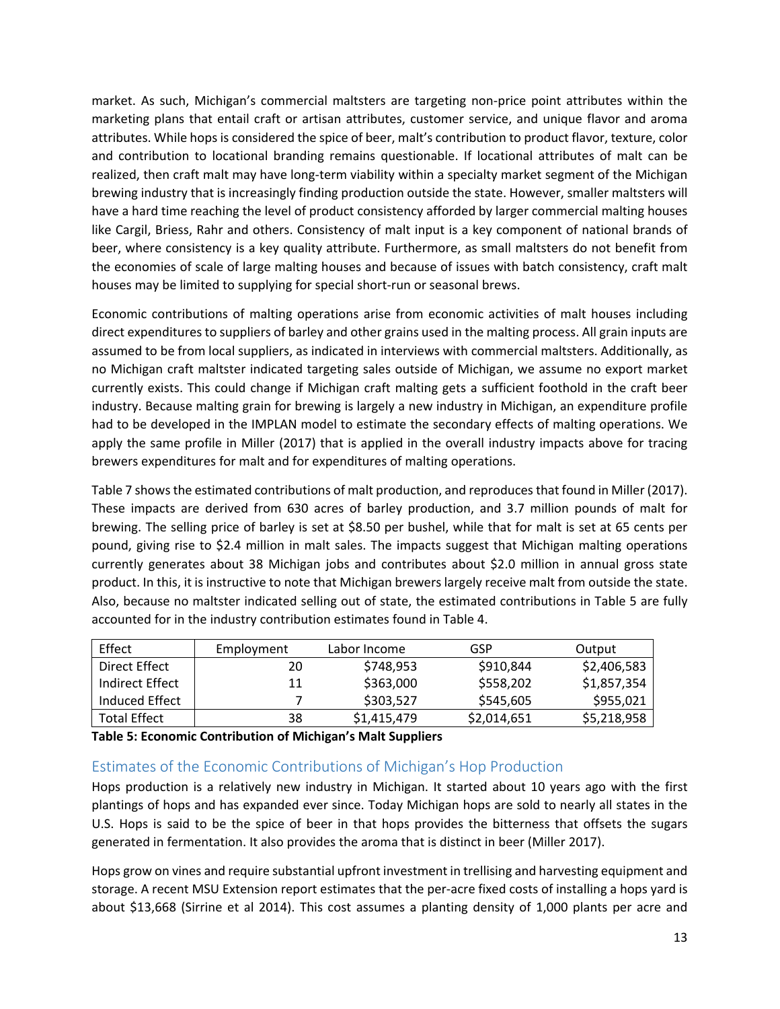market. As such, Michigan's commercial maltsters are targeting non‐price point attributes within the marketing plans that entail craft or artisan attributes, customer service, and unique flavor and aroma attributes. While hops is considered the spice of beer, malt's contribution to product flavor, texture, color and contribution to locational branding remains questionable. If locational attributes of malt can be realized, then craft malt may have long-term viability within a specialty market segment of the Michigan brewing industry that is increasingly finding production outside the state. However, smaller maltsters will have a hard time reaching the level of product consistency afforded by larger commercial malting houses like Cargil, Briess, Rahr and others. Consistency of malt input is a key component of national brands of beer, where consistency is a key quality attribute. Furthermore, as small maltsters do not benefit from the economies of scale of large malting houses and because of issues with batch consistency, craft malt houses may be limited to supplying for special short-run or seasonal brews.

Economic contributions of malting operations arise from economic activities of malt houses including direct expenditures to suppliers of barley and other grains used in the malting process. All grain inputs are assumed to be from local suppliers, as indicated in interviews with commercial maltsters. Additionally, as no Michigan craft maltster indicated targeting sales outside of Michigan, we assume no export market currently exists. This could change if Michigan craft malting gets a sufficient foothold in the craft beer industry. Because malting grain for brewing is largely a new industry in Michigan, an expenditure profile had to be developed in the IMPLAN model to estimate the secondary effects of malting operations. We apply the same profile in Miller (2017) that is applied in the overall industry impacts above for tracing brewers expenditures for malt and for expenditures of malting operations.

Table 7 shows the estimated contributions of malt production, and reproduces that found in Miller (2017). These impacts are derived from 630 acres of barley production, and 3.7 million pounds of malt for brewing. The selling price of barley is set at \$8.50 per bushel, while that for malt is set at 65 cents per pound, giving rise to \$2.4 million in malt sales. The impacts suggest that Michigan malting operations currently generates about 38 Michigan jobs and contributes about \$2.0 million in annual gross state product. In this, it is instructive to note that Michigan brewers largely receive malt from outside the state. Also, because no maltster indicated selling out of state, the estimated contributions in Table 5 are fully accounted for in the industry contribution estimates found in Table 4.

| Effect          | Employment | Labor Income | GSP         | Output      |
|-----------------|------------|--------------|-------------|-------------|
| Direct Effect   | 20         | \$748,953    | \$910,844   | \$2,406,583 |
| Indirect Effect | 11         | \$363,000    | \$558,202   | \$1,857,354 |
| Induced Effect  |            | \$303,527    | \$545,605   | \$955,021   |
| Total Effect    | 38         | \$1,415,479  | \$2,014,651 | \$5,218,958 |

**Table 5: Economic Contribution of Michigan's Malt Suppliers**

#### Estimates of the Economic Contributions of Michigan's Hop Production

Hops production is a relatively new industry in Michigan. It started about 10 years ago with the first plantings of hops and has expanded ever since. Today Michigan hops are sold to nearly all states in the U.S. Hops is said to be the spice of beer in that hops provides the bitterness that offsets the sugars generated in fermentation. It also provides the aroma that is distinct in beer (Miller 2017).

Hops grow on vines and require substantial upfront investment in trellising and harvesting equipment and storage. A recent MSU Extension report estimates that the per-acre fixed costs of installing a hops yard is about \$13,668 (Sirrine et al 2014). This cost assumes a planting density of 1,000 plants per acre and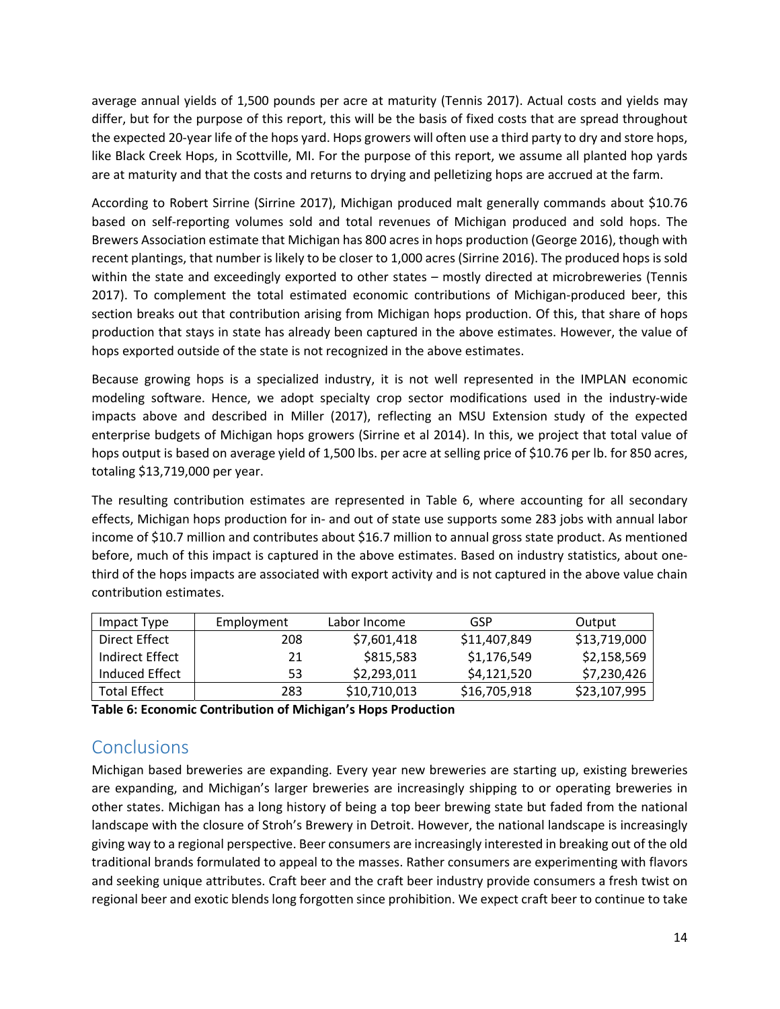average annual yields of 1,500 pounds per acre at maturity (Tennis 2017). Actual costs and yields may differ, but for the purpose of this report, this will be the basis of fixed costs that are spread throughout the expected 20‐year life of the hops yard. Hops growers will often use a third party to dry and store hops, like Black Creek Hops, in Scottville, MI. For the purpose of this report, we assume all planted hop yards are at maturity and that the costs and returns to drying and pelletizing hops are accrued at the farm.

According to Robert Sirrine (Sirrine 2017), Michigan produced malt generally commands about \$10.76 based on self‐reporting volumes sold and total revenues of Michigan produced and sold hops. The Brewers Association estimate that Michigan has 800 acres in hops production (George 2016), though with recent plantings, that number is likely to be closer to 1,000 acres (Sirrine 2016). The produced hops is sold within the state and exceedingly exported to other states – mostly directed at microbreweries (Tennis 2017). To complement the total estimated economic contributions of Michigan-produced beer, this section breaks out that contribution arising from Michigan hops production. Of this, that share of hops production that stays in state has already been captured in the above estimates. However, the value of hops exported outside of the state is not recognized in the above estimates.

Because growing hops is a specialized industry, it is not well represented in the IMPLAN economic modeling software. Hence, we adopt specialty crop sector modifications used in the industry‐wide impacts above and described in Miller (2017), reflecting an MSU Extension study of the expected enterprise budgets of Michigan hops growers (Sirrine et al 2014). In this, we project that total value of hops output is based on average yield of 1,500 lbs. per acre at selling price of \$10.76 per lb. for 850 acres, totaling \$13,719,000 per year.

The resulting contribution estimates are represented in Table 6, where accounting for all secondary effects, Michigan hops production for in‐ and out of state use supports some 283 jobs with annual labor income of \$10.7 million and contributes about \$16.7 million to annual gross state product. As mentioned before, much of this impact is captured in the above estimates. Based on industry statistics, about one‐ third of the hops impacts are associated with export activity and is not captured in the above value chain contribution estimates.

| Impact Type     | Employment | Labor Income | GSP          | Output       |
|-----------------|------------|--------------|--------------|--------------|
| Direct Effect   | 208        | \$7,601,418  | \$11,407,849 | \$13,719,000 |
| Indirect Effect | 21         | \$815,583    | \$1,176,549  | \$2,158,569  |
| Induced Effect  | 53         | \$2,293,011  | \$4,121,520  | \$7,230,426  |
| Total Effect    | 283        | \$10,710,013 | \$16,705,918 | \$23,107,995 |

**Table 6: Economic Contribution of Michigan's Hops Production**

# **Conclusions**

Michigan based breweries are expanding. Every year new breweries are starting up, existing breweries are expanding, and Michigan's larger breweries are increasingly shipping to or operating breweries in other states. Michigan has a long history of being a top beer brewing state but faded from the national landscape with the closure of Stroh's Brewery in Detroit. However, the national landscape is increasingly giving way to a regional perspective. Beer consumers are increasingly interested in breaking out of the old traditional brands formulated to appeal to the masses. Rather consumers are experimenting with flavors and seeking unique attributes. Craft beer and the craft beer industry provide consumers a fresh twist on regional beer and exotic blends long forgotten since prohibition. We expect craft beer to continue to take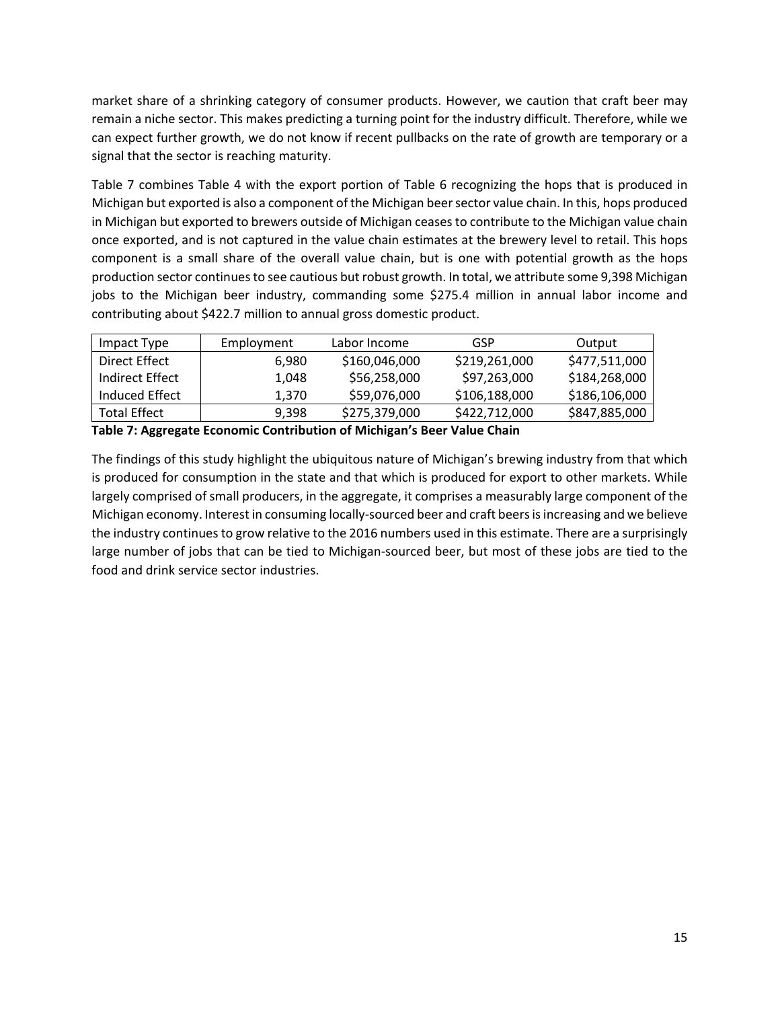market share of a shrinking category of consumer products. However, we caution that craft beer may remain a niche sector. This makes predicting a turning point for the industry difficult. Therefore, while we can expect further growth, we do not know if recent pullbacks on the rate of growth are temporary or a signal that the sector is reaching maturity.

Table 7 combines Table 4 with the export portion of Table 6 recognizing the hops that is produced in Michigan but exported is also a component of the Michigan beersector value chain. In this, hops produced in Michigan but exported to brewers outside of Michigan ceasesto contribute to the Michigan value chain once exported, and is not captured in the value chain estimates at the brewery level to retail. This hops component is a small share of the overall value chain, but is one with potential growth as the hops production sector continues to see cautious but robust growth. In total, we attribute some 9,398 Michigan jobs to the Michigan beer industry, commanding some \$275.4 million in annual labor income and contributing about \$422.7 million to annual gross domestic product.

| Impact Type         | Employment | Labor Income  | GSP           | Output        |
|---------------------|------------|---------------|---------------|---------------|
| Direct Effect       | 6.980      | \$160,046,000 | \$219,261,000 | \$477,511,000 |
| Indirect Effect     | 1.048      | \$56,258,000  | \$97,263,000  | \$184,268,000 |
| Induced Effect      | 1.370      | \$59,076,000  | \$106,188,000 | \$186,106,000 |
| <b>Total Effect</b> | 9.398      | \$275,379,000 | \$422,712,000 | \$847,885,000 |

**Table 7: Aggregate Economic Contribution of Michigan's Beer Value Chain**

The findings of this study highlight the ubiquitous nature of Michigan's brewing industry from that which is produced for consumption in the state and that which is produced for export to other markets. While largely comprised of small producers, in the aggregate, it comprises a measurably large component of the Michigan economy. Interest in consuming locally-sourced beer and craft beers is increasing and we believe the industry continuesto grow relative to the 2016 numbers used in this estimate. There are a surprisingly large number of jobs that can be tied to Michigan‐sourced beer, but most of these jobs are tied to the food and drink service sector industries.